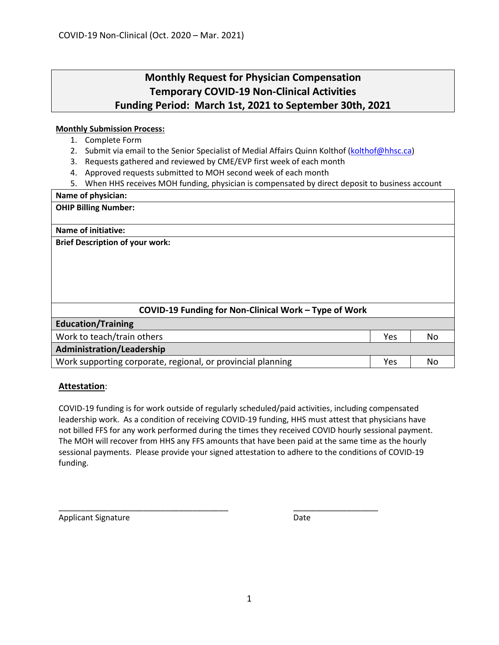### **Monthly Request for Physician Compensation Temporary COVID-19 Non-Clinical Activities Funding Period: March 1st, 2021 to September 30th, 2021**

#### **Monthly Submission Process:**

- 1. Complete Form
- 2. Submit via email to the Senior Specialist of Medial Affairs Quinn Kolthof [\(kolthof@hhsc.ca\)](mailto:kolthof@hhsc.ca)
- 3. Requests gathered and reviewed by CME/EVP first week of each month
- 4. Approved requests submitted to MOH second week of each month
- 5. When HHS receives MOH funding, physician is compensated by direct deposit to business account

#### **Name of physician:**

**OHIP Billing Number:**

#### **Name of initiative:**

**Brief Description of your work:**

| COVID-19 Funding for Non-Clinical Work - Type of Work       |     |    |
|-------------------------------------------------------------|-----|----|
| <b>Education/Training</b>                                   |     |    |
| Work to teach/train others                                  | Yes | No |
| <b>Administration/Leadership</b>                            |     |    |
| Work supporting corporate, regional, or provincial planning | Yes | No |

#### **Attestation**:

COVID-19 funding is for work outside of regularly scheduled/paid activities, including compensated leadership work. As a condition of receiving COVID-19 funding, HHS must attest that physicians have not billed FFS for any work performed during the times they received COVID hourly sessional payment. The MOH will recover from HHS any FFS amounts that have been paid at the same time as the hourly sessional payments. Please provide your signed attestation to adhere to the conditions of COVID-19 funding.

\_\_\_\_\_\_\_\_\_\_\_\_\_\_\_\_\_\_\_\_\_\_\_\_\_\_\_\_\_\_\_\_\_\_\_\_\_\_ \_\_\_\_\_\_\_\_\_\_\_\_\_\_\_\_\_\_\_

Applicant Signature Date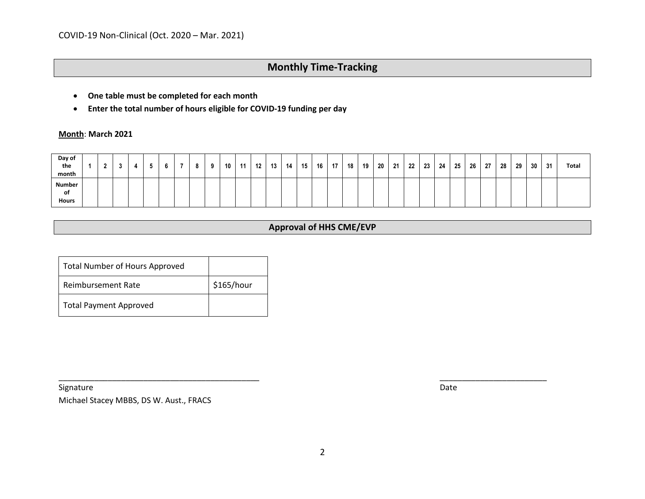- **One table must be completed for each month**
- **Enter the total number of hours eligible for COVID-19 funding per day**

**Month**: **March 2021**

| Day of<br>the<br>month              |  |  |  | 8 | $\Omega$ | 10 | 11 | 12 | 13 | 14 | 15 | 16 | 17 | 18 | 19 | 20 | 21 | 22 | 23 | 24 | 25 | 26 | 27 | 28 | 29 | 30 | 31 | <b>Total</b> |
|-------------------------------------|--|--|--|---|----------|----|----|----|----|----|----|----|----|----|----|----|----|----|----|----|----|----|----|----|----|----|----|--------------|
| <b>Number</b><br>of<br><b>Hours</b> |  |  |  |   |          |    |    |    |    |    |    |    |    |    |    |    |    |    |    |    |    |    |    |    |    |    |    |              |

### **Approval of HHS CME/EVP**

| <b>Total Number of Hours Approved</b> |            |
|---------------------------------------|------------|
| Reimbursement Rate                    | \$165/hour |
| <b>Total Payment Approved</b>         |            |

Signature **Date** 

Michael Stacey MBBS, DS W. Aust., FRACS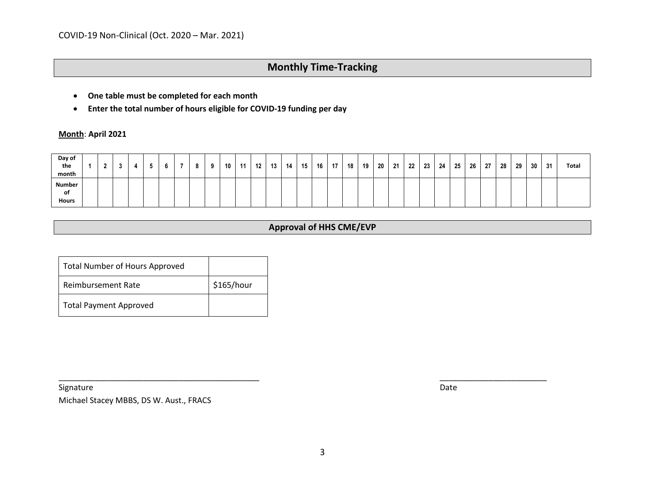- **One table must be completed for each month**
- **Enter the total number of hours eligible for COVID-19 funding per day**

**Month**: **April 2021**

| Day of<br>the<br>month              |  |  |  | 8 | $\Omega$ | 10 | 11 | 12 | 13 | 14 | 15 | 16 | 17 | 18 | 19 | 20 | 21 | 22 | 23 | 24 | 25 | 26 | 27 | 28 | 29 | 30 | 31 | <b>Total</b> |
|-------------------------------------|--|--|--|---|----------|----|----|----|----|----|----|----|----|----|----|----|----|----|----|----|----|----|----|----|----|----|----|--------------|
| <b>Number</b><br>of<br><b>Hours</b> |  |  |  |   |          |    |    |    |    |    |    |    |    |    |    |    |    |    |    |    |    |    |    |    |    |    |    |              |

### **Approval of HHS CME/EVP**

| <b>Total Number of Hours Approved</b> |            |
|---------------------------------------|------------|
| Reimbursement Rate                    | \$165/hour |
| <b>Total Payment Approved</b>         |            |

Signature **Date** 

Michael Stacey MBBS, DS W. Aust., FRACS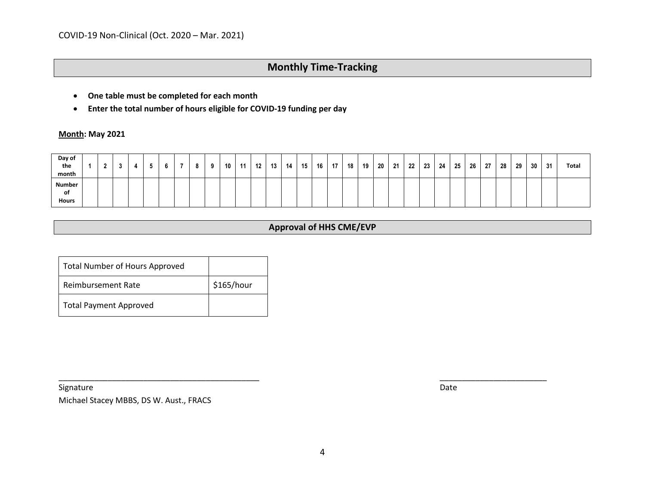- **One table must be completed for each month**
- **Enter the total number of hours eligible for COVID-19 funding per day**

**Month: May 2021**

| Day of<br>the<br>month       |  |  |  | 8 | $\Omega$ | 10 | 11 | 12 | 13 | 14 | 15 | 16 | 17 | 18 | 19 | 20 | 21 | 22 <sub>1</sub> | 23 | 24 | 25 | 26 | -27 | 28 | 29 | 30 | 31 | <b>Total</b> |
|------------------------------|--|--|--|---|----------|----|----|----|----|----|----|----|----|----|----|----|----|-----------------|----|----|----|----|-----|----|----|----|----|--------------|
| Number<br>of<br><b>Hours</b> |  |  |  |   |          |    |    |    |    |    |    |    |    |    |    |    |    |                 |    |    |    |    |     |    |    |    |    |              |

### **Approval of HHS CME/EVP**

| <b>Total Number of Hours Approved</b> |            |
|---------------------------------------|------------|
| Reimbursement Rate                    | \$165/hour |
| <b>Total Payment Approved</b>         |            |

Signature **Date** 

Michael Stacey MBBS, DS W. Aust., FRACS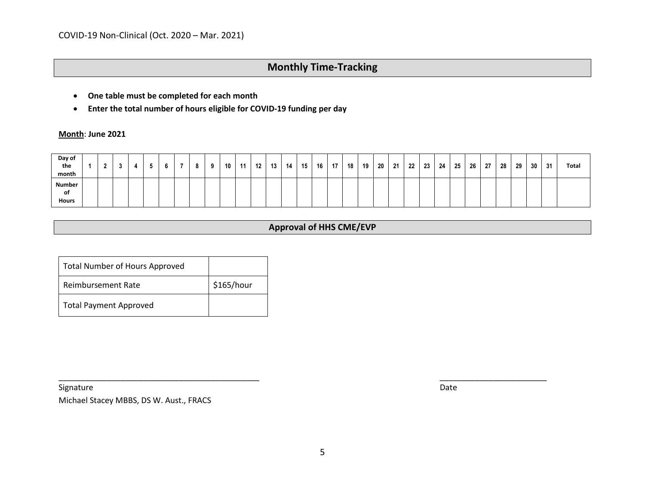- **One table must be completed for each month**
- **Enter the total number of hours eligible for COVID-19 funding per day**

**Month**: **June 2021**

| Day of<br>the<br>month       |  |  |  | 8 | $\Omega$ | 10 | 11 | 12 | 13 | 14 | 15 | 16 | 17 | 18 | 19 | 20 | 21 | 22 <sub>1</sub> | 23 | 24 | 25 | 26 | -27 | 28 | 29 | 30 | 31 | <b>Total</b> |
|------------------------------|--|--|--|---|----------|----|----|----|----|----|----|----|----|----|----|----|----|-----------------|----|----|----|----|-----|----|----|----|----|--------------|
| Number<br>of<br><b>Hours</b> |  |  |  |   |          |    |    |    |    |    |    |    |    |    |    |    |    |                 |    |    |    |    |     |    |    |    |    |              |

### **Approval of HHS CME/EVP**

| <b>Total Number of Hours Approved</b> |            |
|---------------------------------------|------------|
| Reimbursement Rate                    | \$165/hour |
| <b>Total Payment Approved</b>         |            |

Signature **Date** 

Michael Stacey MBBS, DS W. Aust., FRACS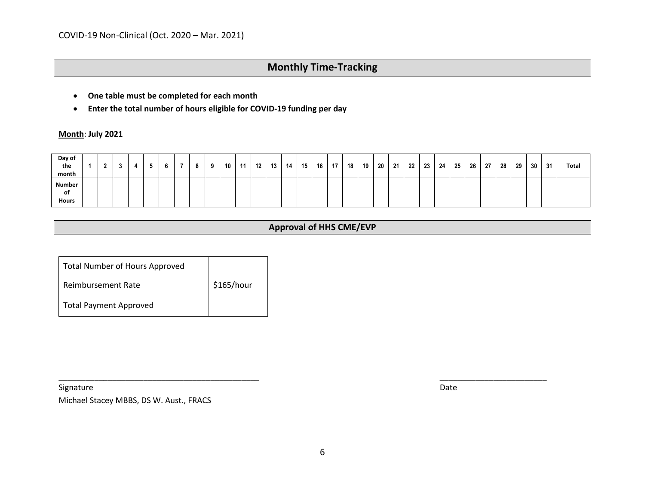- **One table must be completed for each month**
- **Enter the total number of hours eligible for COVID-19 funding per day**

**Month**: **July 2021**

| Day of<br>the<br>month       |  |  |  | 8 | $\Omega$ | 10 | 11 | 12 | 13 | 14 | 15 | 16 | 17 | 18 | 19 | 20 | 21 | 22 <sub>1</sub> | 23 | 24 | 25 | 26 | -27 | 28 | 29 | 30 | 31 | <b>Total</b> |
|------------------------------|--|--|--|---|----------|----|----|----|----|----|----|----|----|----|----|----|----|-----------------|----|----|----|----|-----|----|----|----|----|--------------|
| Number<br>of<br><b>Hours</b> |  |  |  |   |          |    |    |    |    |    |    |    |    |    |    |    |    |                 |    |    |    |    |     |    |    |    |    |              |

### **Approval of HHS CME/EVP**

| <b>Total Number of Hours Approved</b> |            |
|---------------------------------------|------------|
| Reimbursement Rate                    | \$165/hour |
| <b>Total Payment Approved</b>         |            |

Signature **Date** 

Michael Stacey MBBS, DS W. Aust., FRACS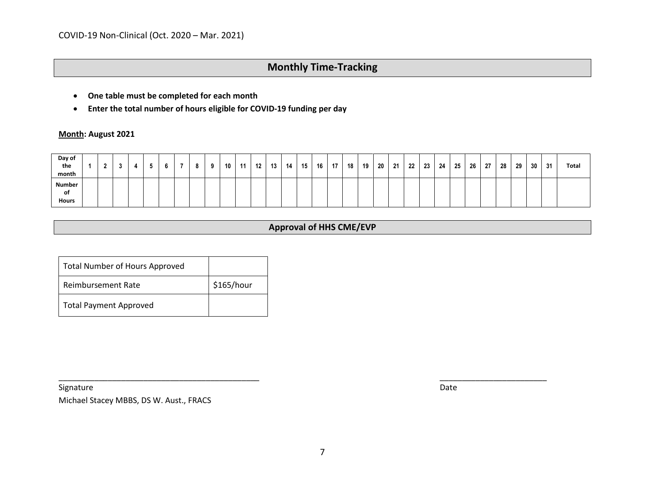- **One table must be completed for each month**
- **Enter the total number of hours eligible for COVID-19 funding per day**

**Month: August 2021**

| Day of<br>the<br>month              |  |  | - - | 8 | $\Omega$ | 10 | 11 | 12 | 13 | 14 | 15 | 16 | 17 | 18 | 19 | 20 | 21 | 22 <sub>1</sub> | 23 | 24 | 25 | 26 | 27 | 28 | 29 | 30 | 31 | Total |
|-------------------------------------|--|--|-----|---|----------|----|----|----|----|----|----|----|----|----|----|----|----|-----------------|----|----|----|----|----|----|----|----|----|-------|
| <b>Number</b><br>of<br><b>Hours</b> |  |  |     |   |          |    |    |    |    |    |    |    |    |    |    |    |    |                 |    |    |    |    |    |    |    |    |    |       |

### **Approval of HHS CME/EVP**

| <b>Total Number of Hours Approved</b> |            |  |  |  |  |
|---------------------------------------|------------|--|--|--|--|
| Reimbursement Rate                    | \$165/hour |  |  |  |  |
| <b>Total Payment Approved</b>         |            |  |  |  |  |

Signature **Date** 

Michael Stacey MBBS, DS W. Aust., FRACS